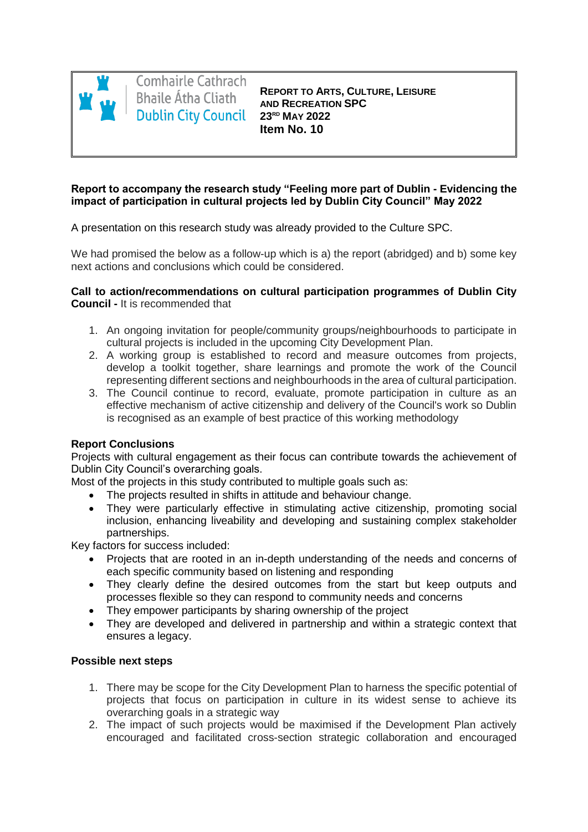

**Comhairle Cathrach Bhaile Átha Cliath 23RD MAY 2022**

**REPORT TO ARTS, CULTURE, LEISURE AND RECREATION SPC Item No. 10**

## **Report to accompany the research study "Feeling more part of Dublin - Evidencing the impact of participation in cultural projects led by Dublin City Council" May 2022**

A presentation on this research study was already provided to the Culture SPC.

We had promised the below as a follow-up which is a) the report (abridged) and b) some key next actions and conclusions which could be considered.

## **Call to action/recommendations on cultural participation programmes of Dublin City Council -** It is recommended that

- 1. An ongoing invitation for people/community groups/neighbourhoods to participate in cultural projects is included in the upcoming City Development Plan.
- 2. A working group is established to record and measure outcomes from projects, develop a toolkit together, share learnings and promote the work of the Council representing different sections and neighbourhoods in the area of cultural participation.
- 3. The Council continue to record, evaluate, promote participation in culture as an effective mechanism of active citizenship and delivery of the Council's work so Dublin is recognised as an example of best practice of this working methodology

## **Report Conclusions**

Projects with cultural engagement as their focus can contribute towards the achievement of Dublin City Council's overarching goals.

Most of the projects in this study contributed to multiple goals such as:

- The projects resulted in shifts in attitude and behaviour change.
- They were particularly effective in stimulating active citizenship, promoting social inclusion, enhancing liveability and developing and sustaining complex stakeholder partnerships.

Key factors for success included:

- Projects that are rooted in an in-depth understanding of the needs and concerns of each specific community based on listening and responding
- They clearly define the desired outcomes from the start but keep outputs and processes flexible so they can respond to community needs and concerns
- They empower participants by sharing ownership of the project
- They are developed and delivered in partnership and within a strategic context that ensures a legacy.

## **Possible next steps**

- 1. There may be scope for the City Development Plan to harness the specific potential of projects that focus on participation in culture in its widest sense to achieve its overarching goals in a strategic way
- 2. The impact of such projects would be maximised if the Development Plan actively encouraged and facilitated cross-section strategic collaboration and encouraged